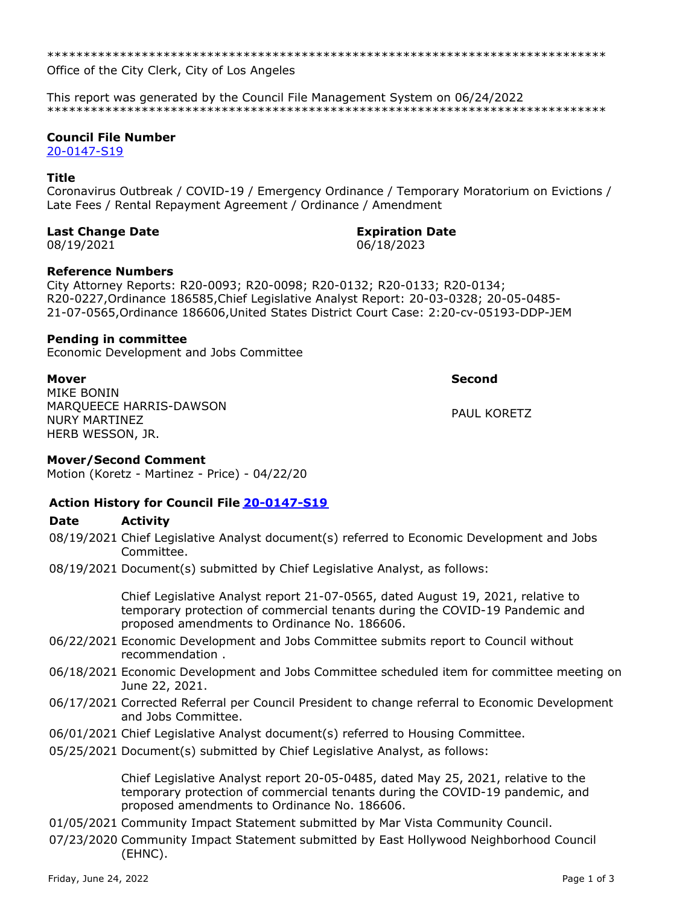\*\*\*\*\*\*\*\*\*\*\*\*\*\*\*\*\*\*\*\*\*\*\*\*\*\*\*\*\*\*\*\*\*\*\*\*\*\*\*\*\*\*\*\*\*\*\*\*\*\*\*\*\*\*\*\*\*\*\*\*\*\*\*\*\*\*\*\*\*\*\*\*\*\*\*\*\*

Office of the City Clerk, City of Los Angeles

This report was generated by the Council File Management System on 06/24/2022 \*\*\*\*\*\*\*\*\*\*\*\*\*\*\*\*\*\*\*\*\*\*\*\*\*\*\*\*\*\*\*\*\*\*\*\*\*\*\*\*\*\*\*\*\*\*\*\*\*\*\*\*\*\*\*\*\*\*\*\*\*\*\*\*\*\*\*\*\*\*\*\*\*\*\*\*\*

### **Council File Number**

[20-0147-S19](https://cityclerk.lacity.org/lacityclerkconnect/index.cfm?fa=ccfi.viewrecord&cfnumber=20-0147-S19)

## **Title**

Coronavirus Outbreak / COVID-19 / Emergency Ordinance / Temporary Moratorium on Evictions / Late Fees / Rental Repayment Agreement / Ordinance / Amendment

### **Last Change Date Expiration Date**

08/19/2021 06/18/2023

## **Reference Numbers**

City Attorney Reports: R20-0093; R20-0098; R20-0132; R20-0133; R20-0134; R20-0227,Ordinance 186585,Chief Legislative Analyst Report: 20-03-0328; 20-05-0485- 21-07-0565,Ordinance 186606,United States District Court Case: 2:20-cv-05193-DDP-JEM

## **Pending in committee**

Economic Development and Jobs Committee

### **Mover Second**

MIKE BONIN MARQUEECE HARRIS-DAWSON NURY MARTINEZ HERB WESSON, JR.

PAUL KORETZ

## **Mover/Second Comment**

Motion (Koretz - Martinez - Price) - 04/22/20

# **Action History for Council File [20-0147-S19](https://cityclerk.lacity.org/lacityclerkconnect/index.cfm?fa=ccfi.viewrecord&cfnumber=20-0147-S19)**

## **Date Activity**

- 08/19/2021 Chief Legislative Analyst document(s) referred to Economic Development and Jobs Committee.
- 08/19/2021 Document(s) submitted by Chief Legislative Analyst, as follows:

Chief Legislative Analyst report 21-07-0565, dated August 19, 2021, relative to temporary protection of commercial tenants during the COVID-19 Pandemic and proposed amendments to Ordinance No. 186606.

- 06/22/2021 Economic Development and Jobs Committee submits report to Council without recommendation .
- 06/18/2021 Economic Development and Jobs Committee scheduled item for committee meeting on June 22, 2021.
- 06/17/2021 Corrected Referral per Council President to change referral to Economic Development and Jobs Committee.
- 06/01/2021 Chief Legislative Analyst document(s) referred to Housing Committee.
- 05/25/2021 Document(s) submitted by Chief Legislative Analyst, as follows:

Chief Legislative Analyst report 20-05-0485, dated May 25, 2021, relative to the temporary protection of commercial tenants during the COVID-19 pandemic, and proposed amendments to Ordinance No. 186606.

- 01/05/2021 Community Impact Statement submitted by Mar Vista Community Council.
- 07/23/2020 Community Impact Statement submitted by East Hollywood Neighborhood Council (EHNC).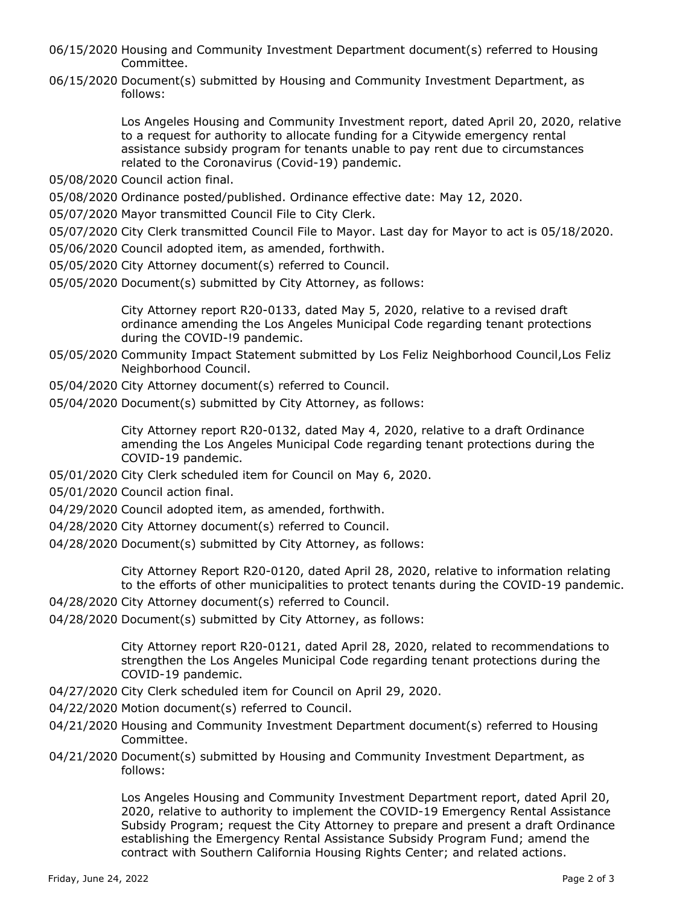- 06/15/2020 Housing and Community Investment Department document(s) referred to Housing Committee.
- 06/15/2020 Document(s) submitted by Housing and Community Investment Department, as follows:

Los Angeles Housing and Community Investment report, dated April 20, 2020, relative to a request for authority to allocate funding for a Citywide emergency rental assistance subsidy program for tenants unable to pay rent due to circumstances related to the Coronavirus (Covid-19) pandemic.

- 05/08/2020 Council action final.
- 05/08/2020 Ordinance posted/published. Ordinance effective date: May 12, 2020.
- 05/07/2020 Mayor transmitted Council File to City Clerk.
- 05/07/2020 City Clerk transmitted Council File to Mayor. Last day for Mayor to act is 05/18/2020.
- 05/06/2020 Council adopted item, as amended, forthwith.
- 05/05/2020 City Attorney document(s) referred to Council.
- 05/05/2020 Document(s) submitted by City Attorney, as follows:

City Attorney report R20-0133, dated May 5, 2020, relative to a revised draft ordinance amending the Los Angeles Municipal Code regarding tenant protections during the COVID-!9 pandemic.

- 05/05/2020 Community Impact Statement submitted by Los Feliz Neighborhood Council,Los Feliz Neighborhood Council.
- 05/04/2020 City Attorney document(s) referred to Council.
- 05/04/2020 Document(s) submitted by City Attorney, as follows:

City Attorney report R20-0132, dated May 4, 2020, relative to a draft Ordinance amending the Los Angeles Municipal Code regarding tenant protections during the COVID-19 pandemic.

- 05/01/2020 City Clerk scheduled item for Council on May 6, 2020.
- 05/01/2020 Council action final.
- 04/29/2020 Council adopted item, as amended, forthwith.
- 04/28/2020 City Attorney document(s) referred to Council.
- 04/28/2020 Document(s) submitted by City Attorney, as follows:

City Attorney Report R20-0120, dated April 28, 2020, relative to information relating to the efforts of other municipalities to protect tenants during the COVID-19 pandemic.

- 04/28/2020 City Attorney document(s) referred to Council.
- 04/28/2020 Document(s) submitted by City Attorney, as follows:

City Attorney report R20-0121, dated April 28, 2020, related to recommendations to strengthen the Los Angeles Municipal Code regarding tenant protections during the COVID-19 pandemic.

- 04/27/2020 City Clerk scheduled item for Council on April 29, 2020.
- 04/22/2020 Motion document(s) referred to Council.
- 04/21/2020 Housing and Community Investment Department document(s) referred to Housing Committee.
- 04/21/2020 Document(s) submitted by Housing and Community Investment Department, as follows:

Los Angeles Housing and Community Investment Department report, dated April 20, 2020, relative to authority to implement the COVID-19 Emergency Rental Assistance Subsidy Program; request the City Attorney to prepare and present a draft Ordinance establishing the Emergency Rental Assistance Subsidy Program Fund; amend the contract with Southern California Housing Rights Center; and related actions.